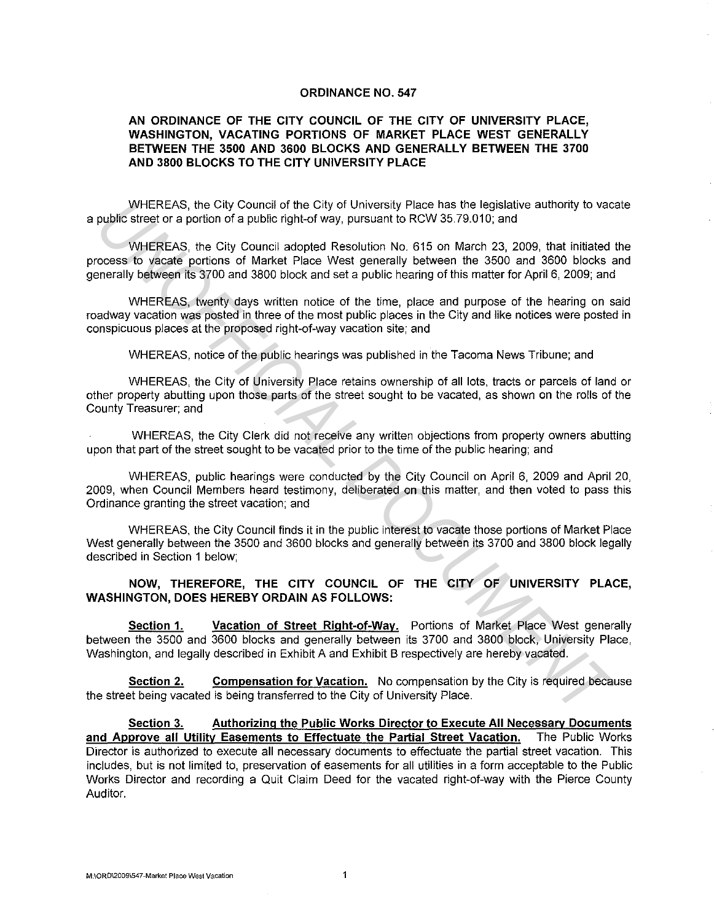#### **ORDINANCE NO. 547**

### **AN ORDINANCE OF THE CITY COUNCIL OF THE CITY OF UNIVERSITY PLACE, WASHINGTON, VACATING PORTIONS OF MARKET PLACE WEST GENERALLY BETWEEN THE 3500 AND 3600 BLOCKS AND GENERALLY BETWEEN THE 3700 AND 3800 BLOCKS TO THE CITY UNIVERSITY PLACE**

WHEREAS, the City Council of the City of University Place has the legislative authority to vacate a public street or a portion of a public right-of way, pursuant to RCW 35.79.010; and

WHEREAS, the City Council adopted Resolution No. 615 on March 23, 2009, that initiated the process to vacate portions of Market Place West generally between the 3500 and 3600 blocks and generally between its 3700 and 3800 block and set a public hearing of this matter for April 6, 2009; and WHEREAS, the Gity Council of the City of University Place has the legislative authority to vacantized public street or a poition of a public right-of way, pursuant to RCW 35.79.010; and<br>
WHEREAS, the City Council adopted R

WHEREAS, twenty days written notice of the time, place and purpose of the hearing on said roadway vacation was posted in three of the most public places in the City and like notices were posted in conspicuous places at the proposed right-of-way vacation site; and

WHEREAS, notice of the public hearings was published in the Tacoma News Tribune; and

WHEREAS, the City of University Place retains ownership of all lots, tracts or parcels of land or other property abutting upon those parts of the street sought to be vacated, as shown on the rolls of the County Treasurer; and

WHEREAS, the City Clerk did not receive any written objections from property owners abutting upon that part of the street sought to be vacated prior to the time of the public hearing; and

WHEREAS, public hearings were conducted by the City Council on April 6, 2009 and April 20, 2009, when Council Members heard testimony, deliberated on this matter, and then voted to pass this Ordinance granting the street vacation; and

WHEREAS, the City Council finds it **in** the public interest to vacate those portions of Market Place West generally between the 3500 and 3600 blocks and generally between its 3700 and 3800 block legally described **in** Section 1 below;

## **NOW, THEREFORE, THE CITY COUNCIL OF THE CITY OF UNIVERSITY PLACE, WASHINGTON, DOES HEREBY ORDAIN AS FOLLOWS:**

**Section 1. Vacation of Street Right-of-Way.** Portions of Market Place West generally between the 3500 and 3600 blocks and generally between its 3700 and 3800 block, University Place, Washington, and legally described in Exhibit A and Exhibit B respectively are hereby vacated.

**Section 2. Compensation for Vacation.** No compensation by the City is required because the street being vacated is being transferred to the City of University Place.

**Section 3. Authorizing the Public Works Director to Execute All Necessary Documents and Approve all Utility Easements to Effectuate the Partial Street Vacation.** The Public Works Director is authorized to execute all necessary documents to effectuate the partial street vacation. This includes, but is not limited to, preservation of easements for all utilities **in** a form acceptable to the Public Works Director and recording a Quit Claim Deed for the vacated right-of-way with the Pierce County Auditor.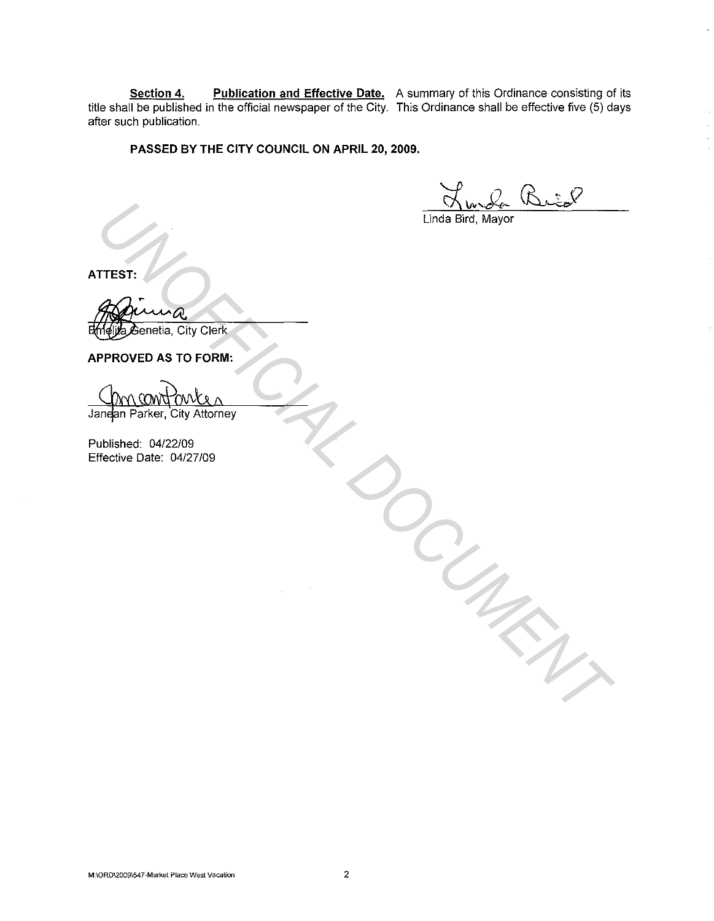**Section 4. Publication and Effective Date.** A summary of this Ordinance consisting of its title shall be published in the official newspaper of the City. This Ordinance shall be effective five (5) days after such publication.

# **PASSED BY THE CITY COUNCIL ON APRIL 20, 2009.**

Linda Bird, Mayor

*DOCUMENT*

**ATTEST:** 

 $\bm{\mathcal{E}}$ enetia, City Clerk **TTEST:**<br> **Aggle Jenetia, City Clerk**<br> **PPROVED AS TO FORM:**<br> **OM CONTOWER A**<br> **UNOFFICIAL CITY Attorney**<br>

<br> **UNIFICIAL CONTOWER AND AND CONTEXANTLE CONTEXANTLE CONTEXANTLE CONTEXANTLE CONTEXANTLE CONTEXANTLE CONTEXANTLE** 

**APPROVED AS TO FORM:** 

Published: 04/22/09 Effective Date: 04/27/09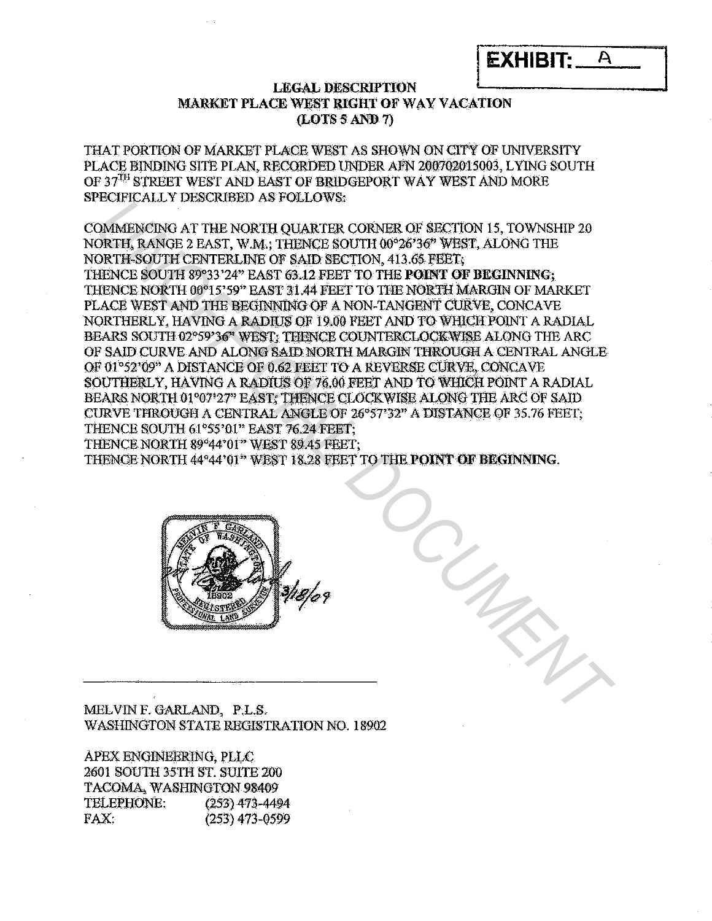| <b>EXHIBIT: A</b> |  |
|-------------------|--|
|                   |  |

# **LEGAL DESCRIPTION** MARKET PLACE WEST RIGHT OF WAY VACATION (LOTS 5 AND 7)

THAT PORTION OF MARKET PLACE WEST AS SHOWN ON CITY OF UNIVERSITY PLACE BINDING SITE PLAN, RECORDED UNDER AFN 200702015003, LYING SOUTH OF 37<sup>TH</sup> STREET WEST AND EAST OF BRIDGEPORT WAY WEST AND MORE **SPECIFICALLY DESCRIBED AS FOLLOWS:** 

COMMENCING AT THE NORTH QUARTER CORNER OF SECTION 15, TOWNSHIP 20 NORTH, RANGE 2 EAST, W.M.; THENCE SOUTH 00°26'36" WEST, ALONG THE NORTH-SOUTH CENTERLINE OF SAID SECTION, 413.65 FEET, THENCE SOUTH 89°33'24" EAST 63.12 FEET TO THE POINT OF BEGINNING; THENCE NORTH 00°15'59" EAST 31.44 FEET TO THE NORTH MARGIN OF MARKET PLACE WEST AND THE BEGINNING OF A NON-TANGENT CURVE, CONCAVE NORTHERLY. HAVING A RADIUS OF 19.00 FEET AND TO WHICH POINT A RADIAL BEARS SOUTH 02°59'36" WEST: THENCE COUNTERCLOCKWISE ALONG THE ARC OF SAID CURVE AND ALONG SAID NORTH MARGIN THROUGH A CENTRAL ANGLE OF 01°52'09" A DISTANCE OF 0.62 FEET TO A REVERSE CURVE. CONCAVE SOUTHERLY, HAVING A RADIUS OF 76.00 FEET AND TO WHICH POINT A RADIAL BEARS NORTH 01°07'27" EAST: THENCE CLOCKWISE ALONG THE ARC OF SAID CURVE THROUGH A CENTRAL ANGLE OF 26°57'32" A DISTANCE OF 35.76 FEET; THENCE SOUTH 61°55'01" EAST 76.24 FEET: THENCE NORTH 89°44'01" WEST 89.45 FEET: THENCE NORTH 44°44'01" WEST 18.28 FEET TO THE POINT OF BEGINNING.



MELVIN F. GARLAND, P.L.S. WASHINGTON STATE REGISTRATION NO. 18902

APEX ENGINEERING, PLLC 2601 SOUTH 35TH ST. SUITE 200 TACOMA, WASHINGTON 98409 TELEPHONE:  $(253)$  473-4494 FAX:  $(253)$  473-0599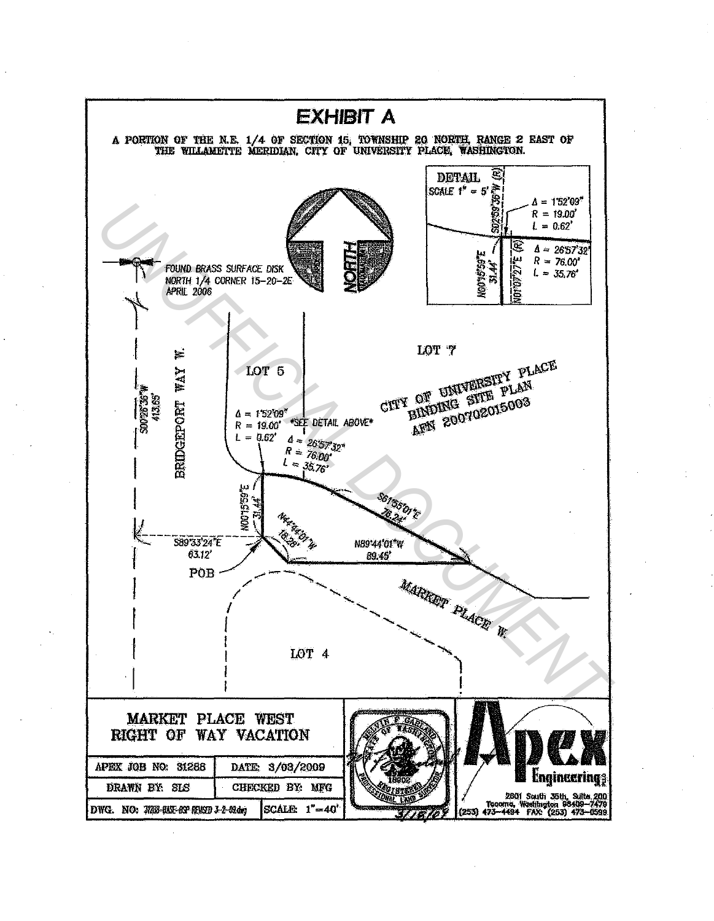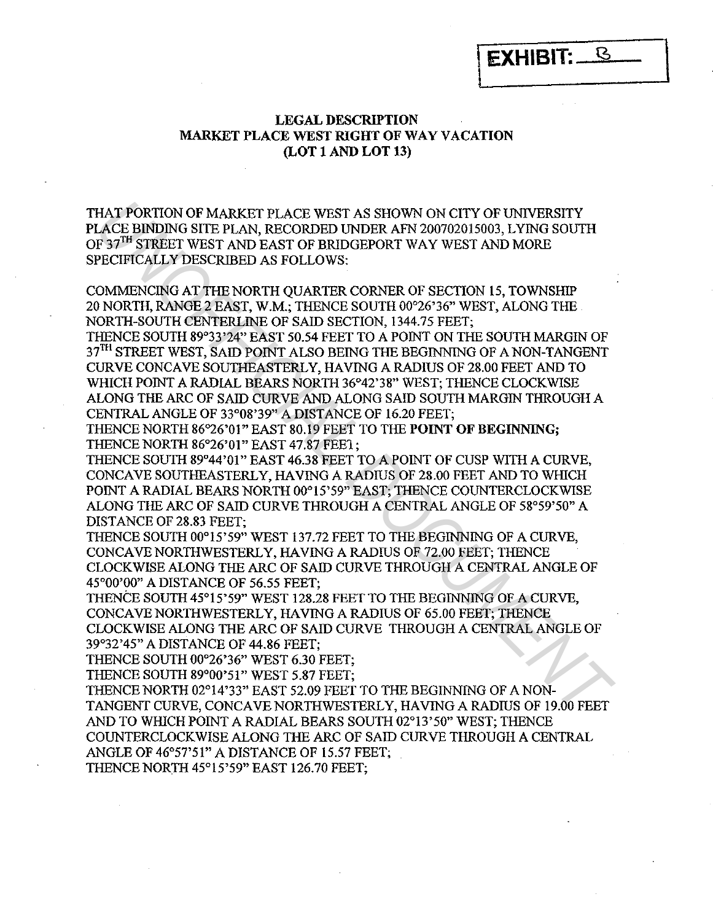**LEGAL DESCRIPTION MARKET PLACE WEST RIGHT OF WAY VACATION (LOT 1 AND LOT 13)** 

\ **EXHIBIT:** ~ \

THAT PORTION OF MARKET PLACE WEST AS SHOWN ON CITY OF UNIVERSITY PLACE BINDING SITE PLAN, RECORDED UNDER AFN 200702015003, LYING SOUTH OF 37<sup>TH</sup> STREET WEST AND EAST OF BRIDGEPORT WAY WEST AND MORE SPECIFICALLY DESCRIBED AS FOLLOWS:

COMMENCING AT THE NORTH QUARTER CORNER OF SECTION 15, TOWNSHIP 20 NORTH, RANGE 2 EAST, W.M.; THENCE SOUTH 00°26'36" WEST, ALONG THE NORTH-SOUTH CENTERLINE OF SAID SECTION, 1344.75 FEET;

THENCE SOUTH 89°33 '24" EAST 50.54 FEET TO A POINT ON THE SOUTH MARGIN OF 37<sup>TH</sup> STREET WEST, SAID POINT ALSO BEING THE BEGINNING OF A NON-TANGENT CURVE CONCA VE SOUTHEASTERLY, HAVING A RADIUS OF 28.00 FEET AND TO WHICH POINT A RADIAL BEARS NORTH 36°42'38" WEST; THENCE CLOCKWISE ALONG THE ARC OF SAID CURVE AND ALONG SAID SOUTH MARGIN THROUGH A CENTRAL ANGLE OF 33°08'39" A DISTANCE OF 16.20 FEET; HAT PORTION OF MARKEIT PLACE WEST AS SHOWN ON CITY OF UNIVERSITY<br>
LACE BINDING SITE PIAN, RECORDED UNIDER AFY 200702015003, LYING SOUTH<br>
T-72<sup>H</sup> STREET WEST AND RAST OF BRIDGEPORT WAY WEST AND MORE<br>
PECIFICALLY DESCRIBED A

THENCE NORTH 86°26'01" EAST 80.19 FEET TO THE **POINT OF BEGINNING;**  THENCE NORTH 86°26'01" EAST 47.87 FEE1;

THENCE SOUTH 89°44'01" EAST 46.38 FEET TO A POINT OF CUSP WITH A CURVE, CONCAVE SOUTHEASTERLY, HAVING A RADIUS OF 28.00 FEET AND TO WHICH POINT A RADIAL BEARS NORTH 00°15'59" EAST; THENCE COUNTERCLOCKWISE ALONG THE ARC OF SAID CURVE THROUGH A CENTRAL ANGLE OF 58°59'50" A DISTANCE OF 28.83 FEET;

THENCE SOUTH 00°15'59" WEST 137.72 FEET TO THE BEGINNING OF A CURVE, CONCAVE NORTHWESTERLY, HAVING A RADIUS OF 72.00 FEET; THENCE CLOCKWISE ALONG THE ARC OF SAID CURVE THROUGH A CENTRAL ANGLE OF 45°00'00" A DISTANCE OF 56.55 FEET;

THENCE SOUTH 45°15'59" WEST 128.28 FEET TO THE BEGINNING OF A CURVE, CONCA VE NORTHWESTERLY, HAVING A RADIUS OF 65.00 FEET; THENCE CLOCKWISE ALONG THE ARC OF SAID CURVE THROUGH A CENTRAL ANGLE OF 39°32'45" A DISTANCE OF 44.86 FEET;

THENCE SOUTH 00°26'36" WEST 6.30 FEET;

THENCE SOUTH 89°00'51" WEST 5.87 FEET;

THENCE NORTH 02°14'33" EAST 52.09 FEET TO THE BEGINNING OF A NON-TANGENT CURVE, CONCAVE NORTHWESTERLY, HAVING A RADIUS OF 19.00 FEET AND TO WHICH POINT A RADIAL BEARS SOUTH 02°13'50" WEST; THENCE COUNTERCLOCKWISE ALONG THE ARC OF SAID CURVE THROUGH A CENTRAL ANGLE OF 46°57'51" A DISTANCE OF 15.57 FEET;

THENCE NORTH 45°15'59" EAST 126.70 FEET;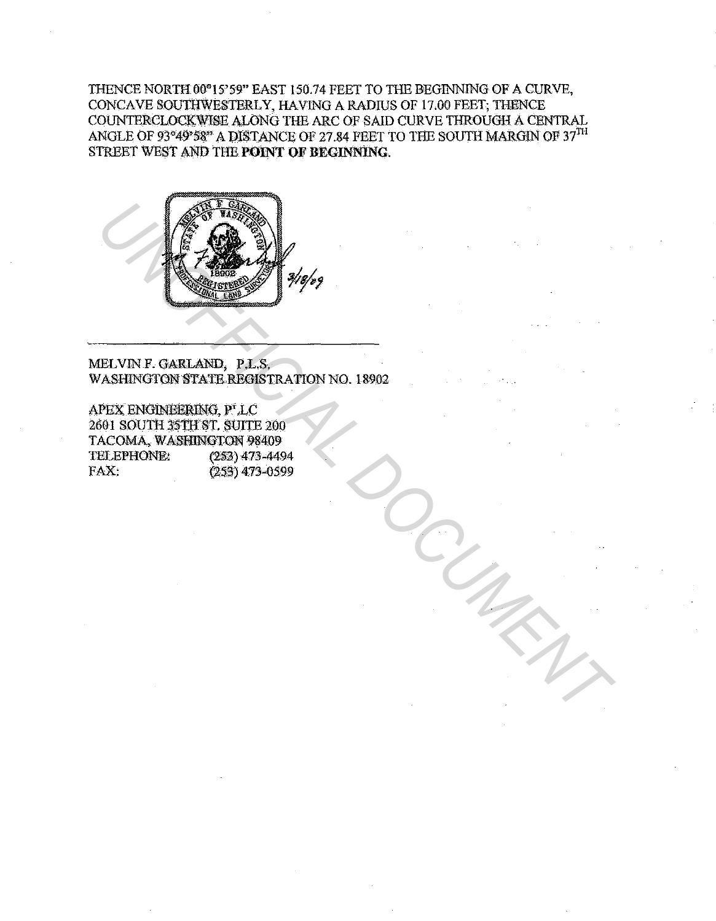THENCE NORTH 00°15'59" EAST 150.74 FEET TO THE BEGINNING OF A CURVE, CONCAVE SOUTHWESTERLY, HAVING A RADIUS OF 17.00 FEET; THENCE COUNTERCLOCKWISE ALONG THE ARC OF SAID CURVE THROUGH A CENTRAL ANGLE OF 93°49\*58" A DISTANCE OF 27.84 FEET TO THE SOUTH MARGIN OF  $37^{\mathrm{TH}}$ STREET WEST AND THE POINT OF BEGINNING.



MELVIN F. GARLAND, P.L.S. WASHINGTON STATE REGISTRATION NO. 18902

APEX ENGINEERING, PLC 2601 SOUTH 35TH ST. SUITE 200 TACOMA, WASHINGTON 98409 TELEPHONE:  $(253)$  473-4494 FAX:  $(253)$  473-0599